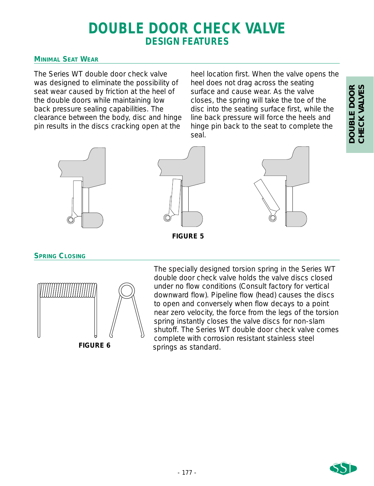# **DOUBLE DOOR CHECK VALVE DESIGN FEATURES**

## **MINIMAL SEAT WEAR**

The Series WT double door check valve was designed to eliminate the possibility of seat wear caused by friction at the heel of the double doors while maintaining low back pressure sealing capabilities. The clearance between the body, disc and hinge pin results in the discs cracking open at the

heel location first. When the valve opens the heel does not drag across the seating surface and cause wear. As the valve closes, the spring will take the toe of the disc into the seating surface first, while the line back pressure will force the heels and hinge pin back to the seat to complete the seal.







**FIGURE 5**

**SPRING CLOSING**



The specially designed torsion spring in the Series WT double door check valve holds the valve discs closed under no flow conditions (Consult factory for vertical downward flow). Pipeline flow (head) causes the discs to open and conversely when flow decays to a point near zero velocity, the force from the legs of the torsion spring instantly closes the valve discs for non-slam shutoff. The Series WT double door check valve comes complete with corrosion resistant stainless steel springs as standard.



**DOUBLE DOOR CHECK VALVES**

DOUBLE DOOR<br>CHECK VALVES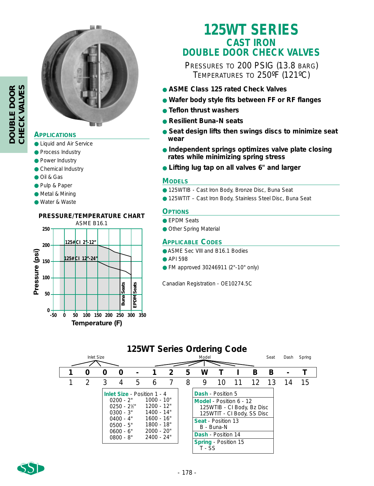

## **APPLICATIONS**

- Liquid and Air Service
- Process Industry
- Power Industry
- Chemical Industry
- Oil & Gas
- Pulp & Paper
- Metal & Mining
- Water & Waste

## **PRESSURE/TEMPERATURE CHART**



# **125WT SERIES CAST IRON DOUBLE DOOR CHECK VALVES**

PRESSURES TO 200 PSIG (13.8 BARG) TEMPERATURES TO 250ºF (121ºC)

- **ASME Class 125 rated Check Valves**
- **Wafer body style fits between FF or RF flanges**
- **Teflon thrust washers**
- **Resilient Buna-N seats**
- **Seat design lifts then swings discs to minimize seat wear**
- **Independent springs optimizes valve plate closing rates while minimizing spring stress**
- **Lifting lug tap on all valves 6" and larger**

## **MODELS**

- 125WTIB Cast Iron Body, Bronze Disc, Buna Seat
- 125WTIT Cast Iron Body, Stainless Steel Disc, Buna Seat

## **OPTIONS**

- EPDM Seats
- Other Spring Material

## **APPLICABLE CODES**

- ASME Sec VIII and B16.1 Bodies
- API 598
- FM approved 30246911 (2"-10" only)

Canadian Registration - OE10274.5C

## **125WT Series Ordering Code**

| Inlet Size |  |   |                                                                                                          |                                                                                                                                            | Model |   |   |                                                                                                                                            |                                                                        |    | Seat | Dash | Spring |    |
|------------|--|---|----------------------------------------------------------------------------------------------------------|--------------------------------------------------------------------------------------------------------------------------------------------|-------|---|---|--------------------------------------------------------------------------------------------------------------------------------------------|------------------------------------------------------------------------|----|------|------|--------|----|
|            |  | O | 0                                                                                                        |                                                                                                                                            |       | 2 | 5 | W                                                                                                                                          |                                                                        |    | В    | в    |        |    |
|            |  | 3 | 4                                                                                                        | 5                                                                                                                                          | 6     |   | 8 | 9                                                                                                                                          | 10                                                                     | 11 | 12   | -13  | 14     | 15 |
|            |  |   | $0200 - 2"$<br>$0250 - 2\%$ "<br>$0300 - 3"$<br>$0400 - 4"$<br>$0500 - 5"$<br>$0600 - 6"$<br>$0800 - 8"$ | <b>Inlet Size - Position 1 - 4</b><br>1000 - 10"<br>1200 - 12"<br>1400 - 14"<br>$1600 - 16"$<br>1800 - 18"<br>$2000 - 20"$<br>$2400 - 24"$ |       |   |   | <b>Dash</b> - Position 5<br>Model - Position 6 - 12<br><b>Seat - Position 13</b><br>Dash - Position 14<br>Spring - Position 15<br>$T - SS$ | 125WTIB - CI Body, Bz Disc<br>125WTIT - CI Body, SS Disc<br>B - Buna-N |    |      |      |        |    |